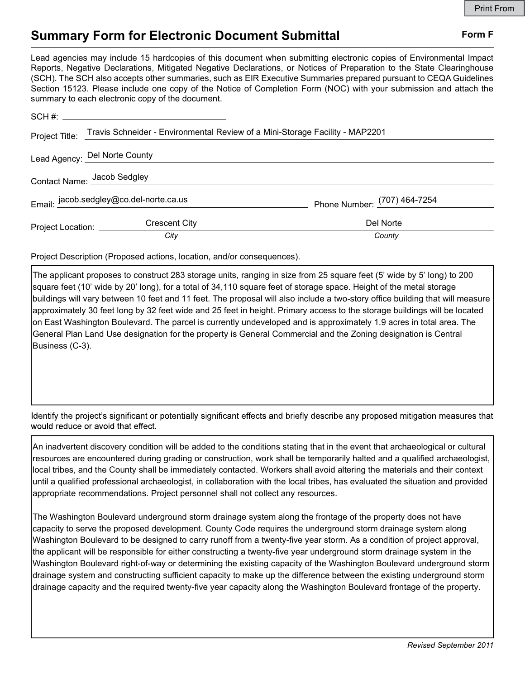## Summary Form for Electronic Document Submittal Form F

Lead agencies may include 15 hardcopies of this document when submitting electronic copies of Environmental Impact Reports, Negative Declarations, Mitigated Negative Declarations, or Notices of Preparation to the State Clearinghouse (SCH). The SCH also accepts other summaries, such as EIR Executive Summaries prepared pursuant to CEQA Guidelines Section 15123. Please include one copy of the Notice of Completion Form (NOC) with your submission and attach the summary to each electronic copy of the document.

|                               | Project Title: Travis Schneider - Environmental Review of a Mini-Storage Facility - MAP2201 |                              |
|-------------------------------|---------------------------------------------------------------------------------------------|------------------------------|
| Lead Agency: Del Norte County |                                                                                             |                              |
| Contact Name: Jacob Sedgley   |                                                                                             |                              |
|                               | Email: jacob.sedgley@co.del-norte.ca.us                                                     | Phone Number: (707) 464-7254 |
| Project Location: ________    | <b>Crescent City</b>                                                                        | Del Norte                    |
|                               | City                                                                                        | County                       |

Project Description (Proposed actions, location, and/or consequences).

The applicant proposes to construct 283 storage units, ranging in size from 25 square feet (5' wide by 5' long) to 200 square feet (10' wide by 20' long), for a total of 34,110 square feet of storage space. Height of the metal storage buildings will vary between 10 feet and 11 feet. The proposal will also include a two-story office building that will measure approximately 30 feet long by 32 feet wide and 25 feet in height. Primary access to the storage buildings will be located on East Washington Boulevard. The parcel is currently undeveloped and is approximately 1.9 acres in total area. The General Plan Land Use designation for the property is General Commercial and the Zoning designation is Central Business (C-3).

Identify the project's significant or potentially significant effects and briefly describe any proposed mitigation measures that would reduce or avoid that effect.

An inadvertent discovery condition will be added to the conditions stating that in the event that archaeological or cultural resources are encountered during grading or construction, work shall be temporarily halted and a qualified archaeologist, local tribes, and the County shall be immediately contacted. Workers shall avoid altering the materials and their context until a qualified professional archaeologist, in collaboration with the local tribes, has evaluated the situation and provided appropriate recommendations. Project personnel shall not collect any resources.

The Washington Boulevard underground storm drainage system along the frontage of the property does not have capacity to serve the proposed development. County Code requires the underground storm drainage system along Washington Boulevard to be designed to carry runoff from a twenty-five year storm. As a condition of project approval, the applicant will be responsible for either constructing a twenty-five year underground storm drainage system in the Washington Boulevard right-of-way or determining the existing capacity of the Washington Boulevard underground storm drainage system and constructing sufficient capacity to make up the difference between the existing underground storm drainage capacity and the required twenty-five year capacity along the Washington Boulevard frontage of the property.